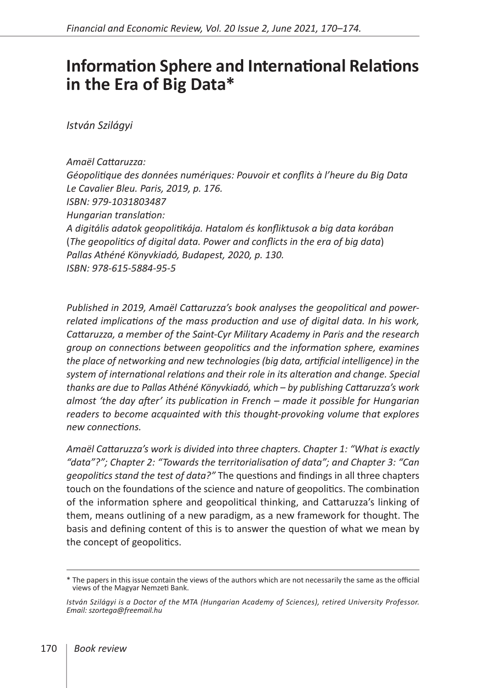## **Information Sphere and International Relations in the Era of Big Data\***

*István Szilágyi*

*Amaël Cattaruzza: Géopolitique des données numériques: Pouvoir et conflits à l'heure du Big Data Le Cavalier Bleu. Paris, 2019, p. 176. ISBN: 979-1031803487 Hungarian translation: A digitális adatok geopolitikája. Hatalom és konfliktusok a big data korában* (*The geopolitics of digital data. Power and conflicts in the era of big data*) *Pallas Athéné Könyvkiadó, Budapest, 2020, p. 130. ISBN: 978-615-5884-95-5* 

*Published in 2019, Amaël Cattaruzza's book analyses the geopolitical and powerrelated implications of the mass production and use of digital data. In his work, Cattaruzza, a member of the Saint-Cyr Military Academy in Paris and the research group on connections between geopolitics and the information sphere, examines the place of networking and new technologies (big data, artificial intelligence) in the system of international relations and their role in its alteration and change. Special thanks are due to Pallas Athéné Könyvkiadó, which – by publishing Cattaruzza's work almost 'the day after' its publication in French – made it possible for Hungarian readers to become acquainted with this thought-provoking volume that explores new connections.*

*Amaël Cattaruzza's work is divided into three chapters. Chapter 1: "What is exactly "data"?"; Chapter 2: "Towards the territorialisation of data"; and Chapter 3: "Can geopolitics stand the test of data?"* The questions and findings in all three chapters touch on the foundations of the science and nature of geopolitics. The combination of the information sphere and geopolitical thinking, and Cattaruzza's linking of them, means outlining of a new paradigm, as a new framework for thought. The basis and defining content of this is to answer the question of what we mean by the concept of geopolitics.

<sup>\*</sup> The papers in this issue contain the views of the authors which are not necessarily the same as the official views of the Magyar Nemzeti Bank.

*István Szilágyi is a Doctor of the MTA (Hungarian Academy of Sciences), retired University Professor. Email: szortega@freemail.hu*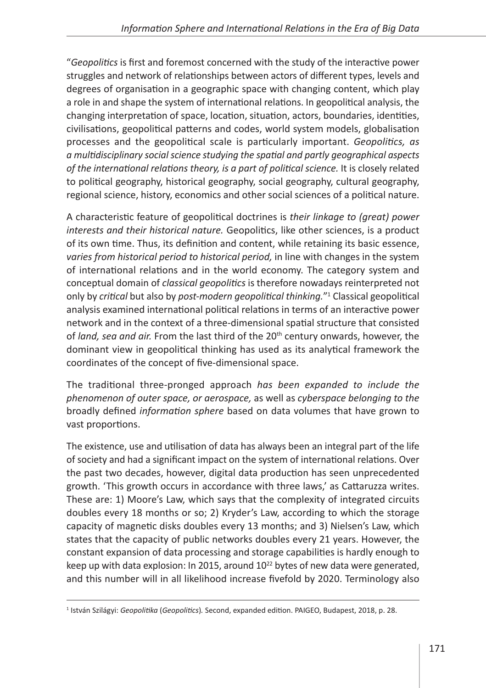"*Geopolitics* is first and foremost concerned with the study of the interactive power struggles and network of relationships between actors of different types, levels and degrees of organisation in a geographic space with changing content, which play a role in and shape the system of international relations. In geopolitical analysis, the changing interpretation of space, location, situation, actors, boundaries, identities, civilisations, geopolitical patterns and codes, world system models, globalisation processes and the geopolitical scale is particularly important. *Geopolitics, as a multidisciplinary social science studying the spatial and partly geographical aspects of the international relations theory, is a part of political science.* It is closely related to political geography, historical geography, social geography, cultural geography, regional science, history, economics and other social sciences of a political nature.

A characteristic feature of geopolitical doctrines is *their linkage to (great) power interests and their historical nature.* Geopolitics, like other sciences, is a product of its own time. Thus, its definition and content, while retaining its basic essence, *varies from historical period to historical period,* in line with changes in the system of international relations and in the world economy. The category system and conceptual domain of *classical geopolitics* is therefore nowadays reinterpreted not only by *critical* but also by *post-modern geopolitical thinking.*"1 Classical geopolitical analysis examined international political relations in terms of an interactive power network and in the context of a three-dimensional spatial structure that consisted of *land, sea and air.* From the last third of the 20<sup>th</sup> century onwards, however, the dominant view in geopolitical thinking has used as its analytical framework the coordinates of the concept of five-dimensional space.

The traditional three-pronged approach *has been expanded to include the phenomenon of outer space, or aerospace,* as well as *cyberspace belonging to the* broadly defined *information sphere* based on data volumes that have grown to vast proportions.

The existence, use and utilisation of data has always been an integral part of the life of society and had a significant impact on the system of international relations. Over the past two decades, however, digital data production has seen unprecedented growth. 'This growth occurs in accordance with three laws,' as Cattaruzza writes. These are: 1) Moore's Law, which says that the complexity of integrated circuits doubles every 18 months or so; 2) Kryder's Law, according to which the storage capacity of magnetic disks doubles every 13 months; and 3) Nielsen's Law, which states that the capacity of public networks doubles every 21 years. However, the constant expansion of data processing and storage capabilities is hardly enough to keep up with data explosion: In 2015, around  $10^{22}$  bytes of new data were generated, and this number will in all likelihood increase fivefold by 2020. Terminology also

<sup>1</sup> István Szilágyi: *Geopolitika* (*Geopolitics*)*.* Second, expanded edition. PAIGEO, Budapest, 2018, p. 28.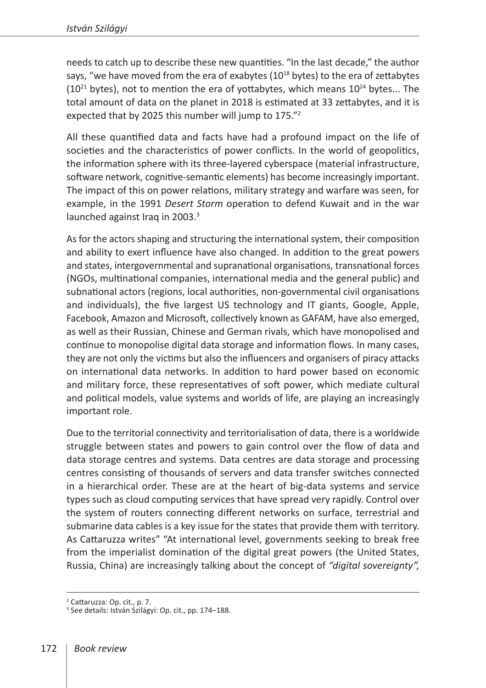needs to catch up to describe these new quantities. "In the last decade," the author says, "we have moved from the era of exabytes ( $10^{18}$  bytes) to the era of zettabytes  $(10^{21}$  bytes), not to mention the era of yottabytes, which means  $10^{24}$  bytes... The total amount of data on the planet in 2018 is estimated at 33 zettabytes, and it is expected that by 2025 this number will jump to 175."2

All these quantified data and facts have had a profound impact on the life of societies and the characteristics of power conflicts. In the world of geopolitics, the information sphere with its three-layered cyberspace (material infrastructure, software network, cognitive-semantic elements) has become increasingly important. The impact of this on power relations, military strategy and warfare was seen, for example, in the 1991 *Desert Storm* operation to defend Kuwait and in the war launched against Iraq in 2003. $3$ 

As for the actors shaping and structuring the international system, their composition and ability to exert influence have also changed. In addition to the great powers and states, intergovernmental and supranational organisations, transnational forces (NGOs, multinational companies, international media and the general public) and subnational actors (regions, local authorities, non-governmental civil organisations and individuals), the five largest US technology and IT giants, Google, Apple, Facebook, Amazon and Microsoft, collectively known as GAFAM, have also emerged, as well as their Russian, Chinese and German rivals, which have monopolised and continue to monopolise digital data storage and information flows. In many cases, they are not only the victims but also the influencers and organisers of piracy attacks on international data networks. In addition to hard power based on economic and military force, these representatives of soft power, which mediate cultural and political models, value systems and worlds of life, are playing an increasingly important role.

Due to the territorial connectivity and territorialisation of data, there is a worldwide struggle between states and powers to gain control over the flow of data and data storage centres and systems. Data centres are data storage and processing centres consisting of thousands of servers and data transfer switches connected in a hierarchical order. These are at the heart of big-data systems and service types such as cloud computing services that have spread very rapidly. Control over the system of routers connecting different networks on surface, terrestrial and submarine data cables is a key issue for the states that provide them with territory. As Cattaruzza writes" "At international level, governments seeking to break free from the imperialist domination of the digital great powers (the United States, Russia, China) are increasingly talking about the concept of *"digital sovereignty",*

<sup>&</sup>lt;sup>2</sup> Cattaruzza: Op. cit., p. 7.<br><sup>3</sup> See details: István Szilágyi: Op. cit., pp. 174–188.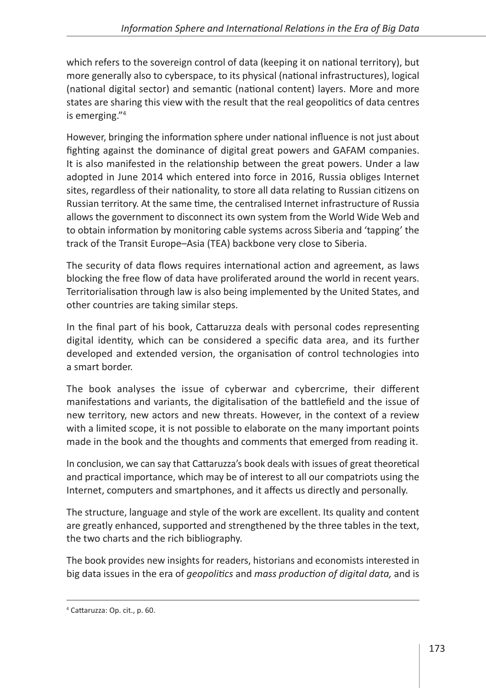which refers to the sovereign control of data (keeping it on national territory), but more generally also to cyberspace, to its physical (national infrastructures), logical (national digital sector) and semantic (national content) layers. More and more states are sharing this view with the result that the real geopolitics of data centres is emerging."4

However, bringing the information sphere under national influence is not just about fighting against the dominance of digital great powers and GAFAM companies. It is also manifested in the relationship between the great powers. Under a law adopted in June 2014 which entered into force in 2016, Russia obliges Internet sites, regardless of their nationality, to store all data relating to Russian citizens on Russian territory. At the same time, the centralised Internet infrastructure of Russia allows the government to disconnect its own system from the World Wide Web and to obtain information by monitoring cable systems across Siberia and 'tapping' the track of the Transit Europe–Asia (TEA) backbone very close to Siberia.

The security of data flows requires international action and agreement, as laws blocking the free flow of data have proliferated around the world in recent years. Territorialisation through law is also being implemented by the United States, and other countries are taking similar steps.

In the final part of his book, Cattaruzza deals with personal codes representing digital identity, which can be considered a specific data area, and its further developed and extended version, the organisation of control technologies into a smart border.

The book analyses the issue of cyberwar and cybercrime, their different manifestations and variants, the digitalisation of the battlefield and the issue of new territory, new actors and new threats. However, in the context of a review with a limited scope, it is not possible to elaborate on the many important points made in the book and the thoughts and comments that emerged from reading it.

In conclusion, we can say that Cattaruzza's book deals with issues of great theoretical and practical importance, which may be of interest to all our compatriots using the Internet, computers and smartphones, and it affects us directly and personally.

The structure, language and style of the work are excellent. Its quality and content are greatly enhanced, supported and strengthened by the three tables in the text, the two charts and the rich bibliography.

The book provides new insights for readers, historians and economists interested in big data issues in the era of *geopolitics* and *mass production of digital data,* and is

<sup>4</sup> Cattaruzza: Op. cit., p. 60.